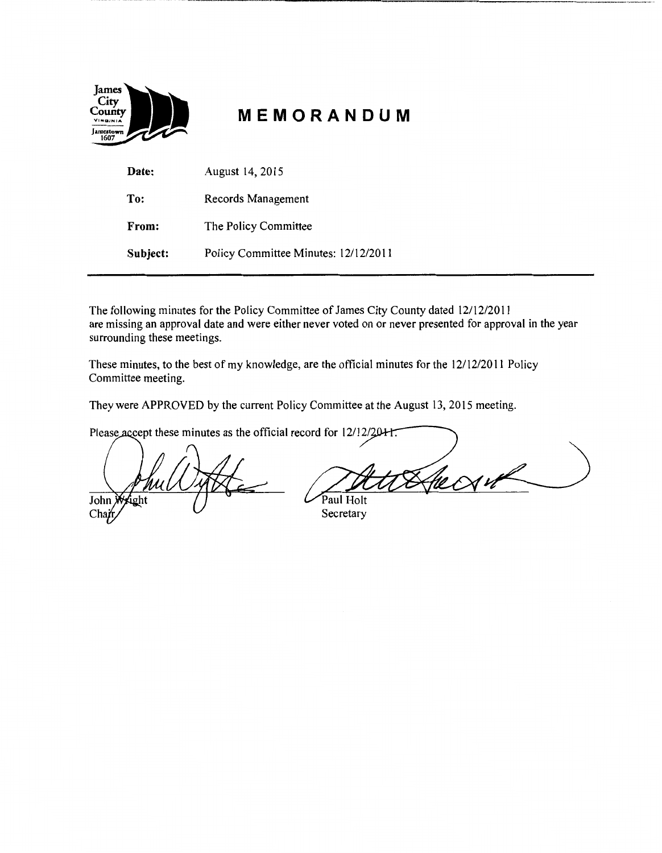| James<br>City<br>County<br>VIRGINIA<br>amestown <br>1607 |  |
|----------------------------------------------------------|--|
|                                                          |  |

# **MEMORANDUM**

--------------------------------------------------

| Date:    | August 14, 2015                      |
|----------|--------------------------------------|
| To:      | Records Management                   |
| From:    | The Policy Committee                 |
| Subject: | Policy Committee Minutes: 12/12/2011 |

The following minutes for the Policy Committee of James City County dated 12/12/2011 are missing an approval date and were either never voted on or never presented for approval in the year surrounding these meetings.

These minutes, to the best of my knowledge, are the official minutes for the 12/12/2011 Policy Committee meeting.

They were APPROVED by the current Policy Committee at the August 13, 2015 meeting.

Please accept these minutes as the official record for 12/12/2041.

John  $Cha$ 

Paul Holt

Secretary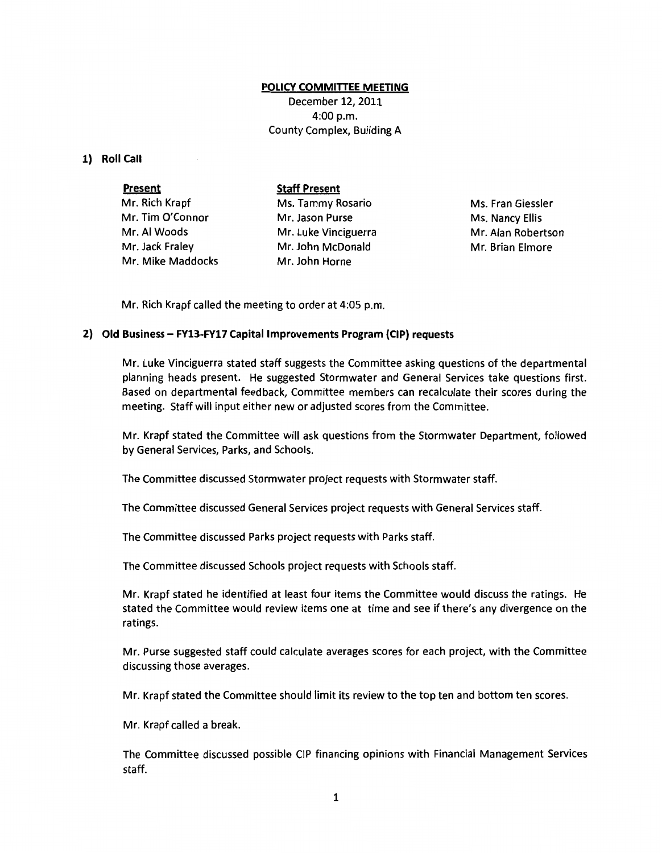#### **POLICY COMMITIEE MEETING**

December 12, 2011 4:00 p.m. County Complex, Building A

## **1) Roll Call**

| <b>Present</b>    | <b>Staff Present</b> |
|-------------------|----------------------|
| Mr. Rich Krapf    | Ms. Tammy Rosario    |
| Mr. Tim O'Connor  | Mr. Jason Purse      |
| Mr. Al Woods      | Mr. Luke Vinciguerra |
| Mr. Jack Fraley   | Mr. John McDonald    |
| Mr. Mike Maddocks | Mr. John Horne       |

Ms. Fran Giessler Ms. Nancy Ellis Mr. Alan Robertson Mr. Brian Elmore

Mr. Rich Krapf called the meeting to order at 4:05 p.m.

## **2) Old Business- FV13-FY17 Capital Improvements Program (CIP) requests**

Mr. Luke Vinciguerra stated staff suggests the Committee asking questions of the departmental planning heads present. He suggested Stormwater and General Services take questions first. Based on departmental feedback, Committee members can recalculate their scores during the meeting. Staff will input either new or adjusted scores from the Committee.

Mr. Krapf stated the Committee will ask questions from the Stormwater Department, followed by General Services, Parks, and Schools.

The Committee discussed Stormwater project requests with Stormwater staff.

The Committee discussed General Services project requests with General Services staff.

The Committee discussed Parks project requests with Parks staff.

The Committee discussed Schools project requests with Schools staff.

Mr. Krapf stated he identified at least four items the Committee would discuss the ratings. He stated the Committee would review items one at time and see if there's any divergence on the ratings.

Mr. Purse suggested staff could calculate averages scores for each project, with the Committee discussing those averages.

Mr. Krapf stated the Committee should limit its review to the top ten and bottom ten scores.

Mr. Krapf called a break.

The Committee discussed possible CIP financing opinions with Financial Management Services staff.